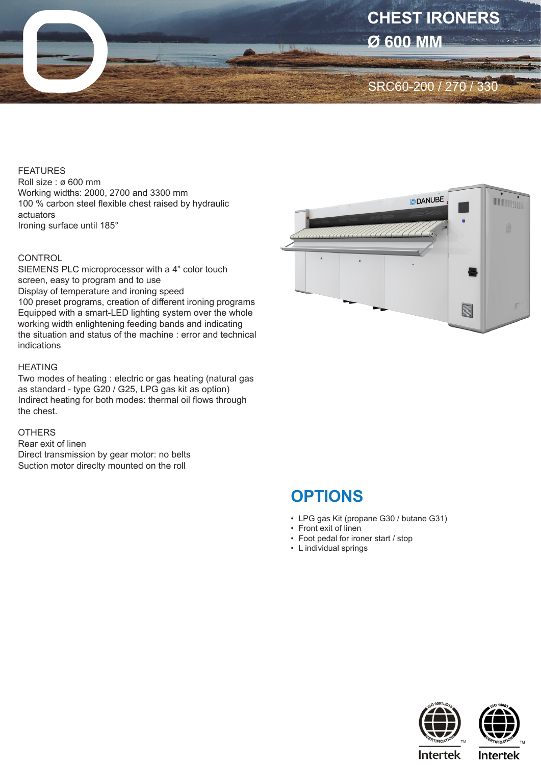

#### FEATURES

Roll size : ø 600 mm Working widths: 2000, 2700 and 3300 mm 100 % carbon steel flexible chest raised by hydraulic actuators Ironing surface until 185°

### **CONTROL**

SIEMENS PLC microprocessor with a 4" color touch screen, easy to program and to use Display of temperature and ironing speed 100 preset programs, creation of different ironing programs Equipped with a smart-LED lighting system over the whole working width enlightening feeding bands and indicating the situation and status of the machine : error and technical indications

#### HEATING

Two modes of heating : electric or gas heating (natural gas as standard - type G20 / G25, LPG gas kit as option) Indirect heating for both modes: thermal oil flows through the chest.

## **OTHERS**

Rear exit of linen Direct transmission by gear motor: no belts Suction motor direclty mounted on the roll



# **OPTIONS**

- LPG gas Kit (propane G30 / butane G31)
- Front exit of linen
- Foot pedal for ironer start / stop
- L individual springs